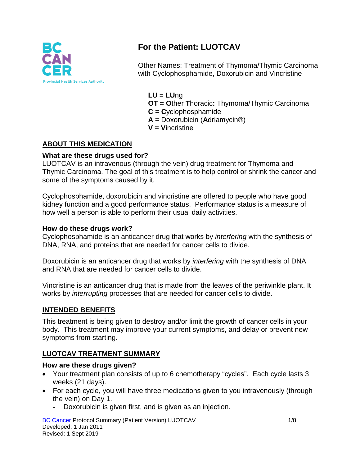

# **For the Patient: LUOTCAV**

Other Names: Treatment of Thymoma/Thymic Carcinoma with Cyclophosphamide, Doxorubicin and Vincristine

**LU = LU**ng **OT = O**ther **T**horacic**:** Thymoma/Thymic Carcinoma **C = C**yclophosphamide

- **A =** Doxorubicin (**A**driamycin®)
- **V = V**incristine

### **ABOUT THIS MEDICATION**

#### **What are these drugs used for?**

LUOTCAV is an intravenous (through the vein) drug treatment for Thymoma and Thymic Carcinoma. The goal of this treatment is to help control or shrink the cancer and some of the symptoms caused by it.

Cyclophosphamide, doxorubicin and vincristine are offered to people who have good kidney function and a good performance status. Performance status is a measure of how well a person is able to perform their usual daily activities.

#### **How do these drugs work?**

Cyclophosphamide is an anticancer drug that works by *interfering* with the synthesis of DNA, RNA, and proteins that are needed for cancer cells to divide.

Doxorubicin is an anticancer drug that works by *interfering* with the synthesis of DNA and RNA that are needed for cancer cells to divide.

Vincristine is an anticancer drug that is made from the leaves of the periwinkle plant. It works by *interrupting* processes that are needed for cancer cells to divide.

#### **INTENDED BENEFITS**

This treatment is being given to destroy and/or limit the growth of cancer cells in your body. This treatment may improve your current symptoms, and delay or prevent new symptoms from starting.

### **LUOTCAV TREATMENT SUMMARY**

#### **How are these drugs given?**

- Your treatment plan consists of up to 6 chemotherapy "cycles". Each cycle lasts 3 weeks (21 days).
- For each cycle, you will have three medications given to you intravenously (through the vein) on Day 1.
	- **-** Doxorubicin is given first, and is given as an injection.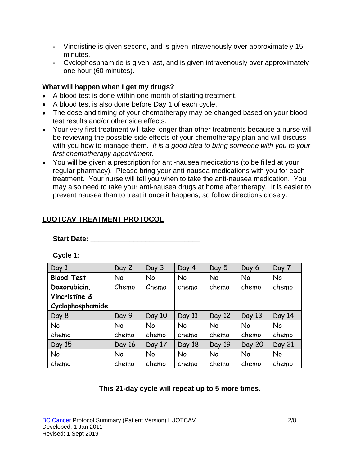- **-** Vincristine is given second, and is given intravenously over approximately 15 minutes.
- **-** Cyclophosphamide is given last, and is given intravenously over approximately one hour (60 minutes).

## **What will happen when I get my drugs?**

- A blood test is done within one month of starting treatment.
- A blood test is also done before Day 1 of each cycle.
- The dose and timing of your chemotherapy may be changed based on your blood test results and/or other side effects.
- Your very first treatment will take longer than other treatments because a nurse will be reviewing the possible side effects of your chemotherapy plan and will discuss with you how to manage them. *It is a good idea to bring someone with you to your first chemotherapy appointment.*
- You will be given a prescription for anti-nausea medications (to be filled at your regular pharmacy). Please bring your anti-nausea medications with you for each treatment. Your nurse will tell you when to take the anti-nausea medication. You may also need to take your anti-nausea drugs at home after therapy. It is easier to prevent nausea than to treat it once it happens, so follow directions closely.

# **LUOTCAV TREATMENT PROTOCOL**

### Start Date: **with a start of the Start Date:**

**Cycle 1:**

| Day 1             | Day 2     | Day 3  | Day 4     | Day 5     | Day 6         | Day 7     |
|-------------------|-----------|--------|-----------|-----------|---------------|-----------|
| <b>Blood Test</b> | <b>No</b> | No     | <b>No</b> | <b>No</b> | No            | <b>No</b> |
| Doxorubicin,      | Chemo     | Chemo  | chemo     | chemo     | chemo         | chemo     |
| Vincristine &     |           |        |           |           |               |           |
| Cyclophosphamide  |           |        |           |           |               |           |
| Day 8             | Day 9     | Day 10 | Day 11    | Day 12    | Day 13        | Day 14    |
| <b>No</b>         | <b>No</b> | No     | No        | <b>No</b> | No            | No        |
| chemo             | chemo     | chemo  | chemo     | chemo     | chemo         | chemo     |
| Day 15            | Day 16    | Day 17 | Day 18    | Day 19    | <b>Day 20</b> | Day 21    |
| No                | No        | No     | No        | <b>No</b> | No            | No        |
| chemo             | chemo     | chemo  | chemo     | chemo     | chemo         | chemo     |

# **This 21-day cycle will repeat up to 5 more times.**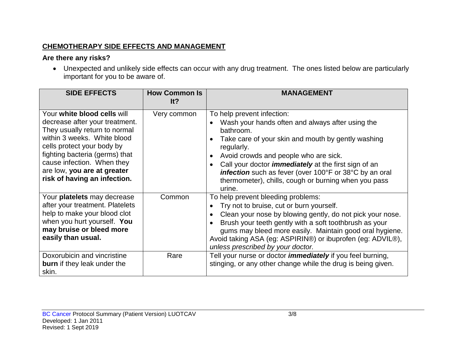## **CHEMOTHERAPY SIDE EFFECTS AND MANAGEMENT**

# **Are there any risks?**

• Unexpected and unlikely side effects can occur with any drug treatment. The ones listed below are particularly important for you to be aware of.

| <b>SIDE EFFECTS</b>                                                                                                                                                                                                                                                                        | <b>How Common Is</b><br>lt? | MANAGEMENT                                                                                                                                                                                                                                                                                                                                                                                          |
|--------------------------------------------------------------------------------------------------------------------------------------------------------------------------------------------------------------------------------------------------------------------------------------------|-----------------------------|-----------------------------------------------------------------------------------------------------------------------------------------------------------------------------------------------------------------------------------------------------------------------------------------------------------------------------------------------------------------------------------------------------|
| Your white blood cells will<br>decrease after your treatment.<br>They usually return to normal<br>within 3 weeks. White blood<br>cells protect your body by<br>fighting bacteria (germs) that<br>cause infection. When they<br>are low, you are at greater<br>risk of having an infection. | Very common                 | To help prevent infection:<br>Wash your hands often and always after using the<br>bathroom.<br>Take care of your skin and mouth by gently washing<br>regularly.<br>Avoid crowds and people who are sick.<br>Call your doctor <i>immediately</i> at the first sign of an<br>infection such as fever (over 100°F or 38°C by an oral<br>thermometer), chills, cough or burning when you pass<br>urine. |
| Your platelets may decrease<br>after your treatment. Platelets<br>help to make your blood clot<br>when you hurt yourself. You<br>may bruise or bleed more<br>easily than usual.                                                                                                            | Common                      | To help prevent bleeding problems:<br>Try not to bruise, cut or burn yourself.<br>Clean your nose by blowing gently, do not pick your nose.<br>Brush your teeth gently with a soft toothbrush as your<br>gums may bleed more easily. Maintain good oral hygiene.<br>Avoid taking ASA (eg: ASPIRIN®) or ibuprofen (eg: ADVIL®),<br>unless prescribed by your doctor.                                 |
| Doxorubicin and vincristine<br><b>burn</b> if they leak under the<br>skin.                                                                                                                                                                                                                 | Rare                        | Tell your nurse or doctor <i>immediately</i> if you feel burning,<br>stinging, or any other change while the drug is being given.                                                                                                                                                                                                                                                                   |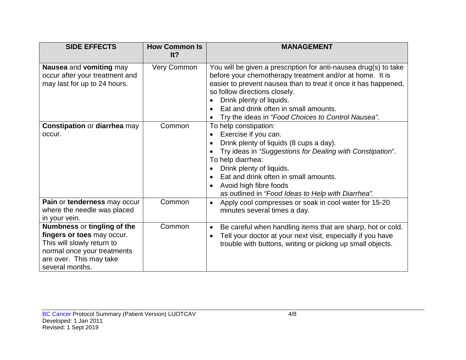| <b>SIDE EFFECTS</b>                                                                                                                                                  | <b>How Common Is</b><br>It? | <b>MANAGEMENT</b>                                                                                                                                                                                                                                                                                                                                           |
|----------------------------------------------------------------------------------------------------------------------------------------------------------------------|-----------------------------|-------------------------------------------------------------------------------------------------------------------------------------------------------------------------------------------------------------------------------------------------------------------------------------------------------------------------------------------------------------|
| Nausea and vomiting may<br>occur after your treatment and<br>may last for up to 24 hours.                                                                            | Very Common                 | You will be given a prescription for anti-nausea drug(s) to take<br>before your chemotherapy treatment and/or at home. It is<br>easier to prevent nausea than to treat it once it has happened,<br>so follow directions closely.<br>Drink plenty of liquids.<br>Eat and drink often in small amounts.<br>Try the ideas in "Food Choices to Control Nausea". |
| <b>Constipation or diarrhea may</b><br>occur.                                                                                                                        | Common                      | To help constipation:<br>Exercise if you can.<br>Drink plenty of liquids (8 cups a day).<br>Try ideas in "Suggestions for Dealing with Constipation".<br>To help diarrhea:<br>Drink plenty of liquids.<br>Eat and drink often in small amounts.<br>Avoid high fibre foods<br>as outlined in "Food Ideas to Help with Diarrhea".                             |
| Pain or tenderness may occur<br>where the needle was placed<br>in your vein.                                                                                         | Common                      | Apply cool compresses or soak in cool water for 15-20<br>$\bullet$<br>minutes several times a day.                                                                                                                                                                                                                                                          |
| Numbness or tingling of the<br>fingers or toes may occur.<br>This will slowly return to<br>normal once your treatments<br>are over. This may take<br>several months. | Common                      | Be careful when handling items that are sharp, hot or cold.<br>$\bullet$<br>Tell your doctor at your next visit, especially if you have<br>trouble with buttons, writing or picking up small objects.                                                                                                                                                       |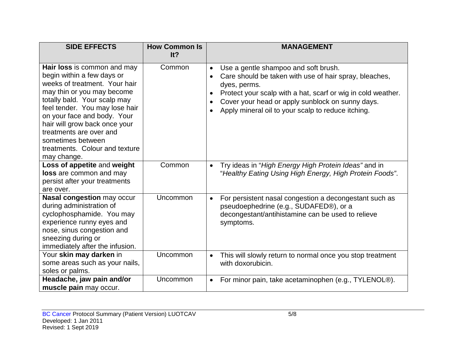| <b>SIDE EFFECTS</b>                                                                                                                                                                                                                                                                                                                                         | <b>How Common Is</b><br>It? | <b>MANAGEMENT</b>                                                                                                                                                                                                                                                                                                               |
|-------------------------------------------------------------------------------------------------------------------------------------------------------------------------------------------------------------------------------------------------------------------------------------------------------------------------------------------------------------|-----------------------------|---------------------------------------------------------------------------------------------------------------------------------------------------------------------------------------------------------------------------------------------------------------------------------------------------------------------------------|
| Hair loss is common and may<br>begin within a few days or<br>weeks of treatment. Your hair<br>may thin or you may become<br>totally bald. Your scalp may<br>feel tender. You may lose hair<br>on your face and body. Your<br>hair will grow back once your<br>treatments are over and<br>sometimes between<br>treatments. Colour and texture<br>may change. | Common                      | Use a gentle shampoo and soft brush.<br>$\bullet$<br>Care should be taken with use of hair spray, bleaches,<br>$\bullet$<br>dyes, perms.<br>Protect your scalp with a hat, scarf or wig in cold weather.<br>$\bullet$<br>Cover your head or apply sunblock on sunny days.<br>Apply mineral oil to your scalp to reduce itching. |
| Loss of appetite and weight<br>loss are common and may<br>persist after your treatments<br>are over.                                                                                                                                                                                                                                                        | Common                      | Try ideas in "High Energy High Protein Ideas" and in<br>$\bullet$<br>"Healthy Eating Using High Energy, High Protein Foods".                                                                                                                                                                                                    |
| Nasal congestion may occur<br>during administration of<br>cyclophosphamide. You may<br>experience runny eyes and<br>nose, sinus congestion and<br>sneezing during or<br>immediately after the infusion.                                                                                                                                                     | Uncommon                    | For persistent nasal congestion a decongestant such as<br>$\bullet$<br>pseudoephedrine (e.g., SUDAFED®), or a<br>decongestant/antihistamine can be used to relieve<br>symptoms.                                                                                                                                                 |
| Your skin may darken in<br>some areas such as your nails,<br>soles or palms.                                                                                                                                                                                                                                                                                | Uncommon                    | This will slowly return to normal once you stop treatment<br>$\bullet$<br>with doxorubicin.                                                                                                                                                                                                                                     |
| Headache, jaw pain and/or<br>muscle pain may occur.                                                                                                                                                                                                                                                                                                         | Uncommon                    | For minor pain, take acetaminophen (e.g., TYLENOL®).<br>$\bullet$                                                                                                                                                                                                                                                               |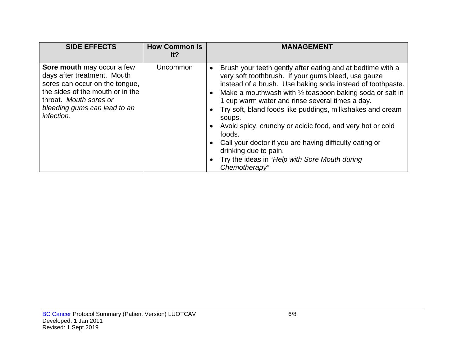| <b>SIDE EFFECTS</b>                                                                                                                                                                                     | <b>How Common Is</b><br>It? | <b>MANAGEMENT</b>                                                                                                                                                                                                                                                                                                                                                                                                                                                                                                                                                                                             |
|---------------------------------------------------------------------------------------------------------------------------------------------------------------------------------------------------------|-----------------------------|---------------------------------------------------------------------------------------------------------------------------------------------------------------------------------------------------------------------------------------------------------------------------------------------------------------------------------------------------------------------------------------------------------------------------------------------------------------------------------------------------------------------------------------------------------------------------------------------------------------|
| Sore mouth may occur a few<br>days after treatment. Mouth<br>sores can occur on the tongue,<br>the sides of the mouth or in the<br>throat. Mouth sores or<br>bleeding gums can lead to an<br>infection. | Uncommon                    | Brush your teeth gently after eating and at bedtime with a<br>very soft toothbrush. If your gums bleed, use gauze<br>instead of a brush. Use baking soda instead of toothpaste.<br>Make a mouthwash with $\frac{1}{2}$ teaspoon baking soda or salt in<br>1 cup warm water and rinse several times a day.<br>Try soft, bland foods like puddings, milkshakes and cream<br>soups.<br>Avoid spicy, crunchy or acidic food, and very hot or cold<br>foods.<br>Call your doctor if you are having difficulty eating or<br>drinking due to pain.<br>Try the ideas in "Help with Sore Mouth during<br>Chemotherapy" |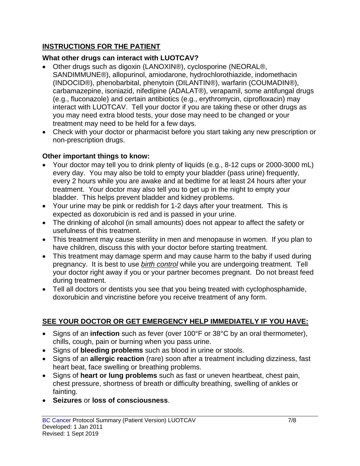# **INSTRUCTIONS FOR THE PATIENT**

# **What other drugs can interact with LUOTCAV?**

- Other drugs such as digoxin (LANOXIN®), cyclosporine (NEORAL®, SANDIMMUNE®), allopurinol, amiodarone, hydrochlorothiazide, indomethacin (INDOCID®), phenobarbital, phenytoin (DILANTIN®), warfarin (COUMADIN®), carbamazepine, isoniazid, nifedipine (ADALAT®), verapamil, some antifungal drugs (e.g., fluconazole) and certain antibiotics (e.g., erythromycin, ciprofloxacin) may interact with LUOTCAV. Tell your doctor if you are taking these or other drugs as you may need extra blood tests, your dose may need to be changed or your treatment may need to be held for a few days.
- Check with your doctor or pharmacist before you start taking any new prescription or non-prescription drugs.

## **Other important things to know:**

- Your doctor may tell you to drink plenty of liquids (e.g., 8-12 cups or 2000-3000 mL) every day. You may also be told to empty your bladder (pass urine) frequently, every 2 hours while you are awake and at bedtime for at least 24 hours after your treatment. Your doctor may also tell you to get up in the night to empty your bladder. This helps prevent bladder and kidney problems.
- Your urine may be pink or reddish for 1-2 days after your treatment. This is expected as doxorubicin is red and is passed in your urine.
- The drinking of alcohol (in small amounts) does not appear to affect the safety or usefulness of this treatment.
- This treatment may cause sterility in men and menopause in women. If you plan to have children, discuss this with your doctor before starting treatment.
- This treatment may damage sperm and may cause harm to the baby if used during pregnancy. It is best to use *birth control* while you are undergoing treatment. Tell your doctor right away if you or your partner becomes pregnant. Do not breast feed during treatment.
- Tell all doctors or dentists you see that you being treated with cyclophosphamide, doxorubicin and vincristine before you receive treatment of any form.

# **SEE YOUR DOCTOR OR GET EMERGENCY HELP IMMEDIATELY IF YOU HAVE:**

- Signs of an **infection** such as fever (over 100°F or 38°C by an oral thermometer), chills, cough, pain or burning when you pass urine.
- Signs of **bleeding problems** such as blood in urine or stools.
- Signs of an **allergic reaction** (rare) soon after a treatment including dizziness, fast heart beat, face swelling or breathing problems.
- Signs of **heart or lung problems** such as fast or uneven heartbeat, chest pain, chest pressure, shortness of breath or difficulty breathing, swelling of ankles or fainting.
- **Seizures** or **loss of consciousness**.